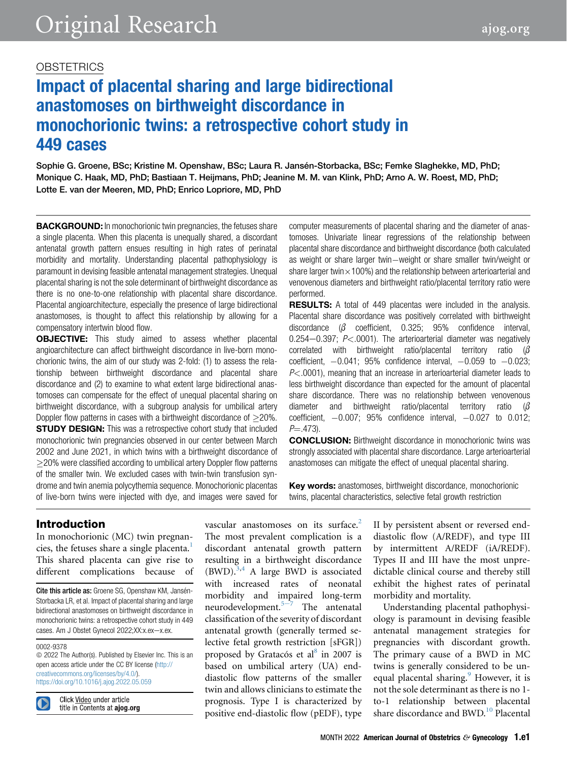# Impact of placental sharing and large bidirectional anastomoses on birthweight discordance in monochorionic twins: a retrospective cohort study in 449 cases

Sophie G. Groene, BSc; Kristine M. Openshaw, BSc; Laura R. Jansén-Storbacka, BSc; Femke Slaghekke, MD, PhD; Monique C. Haak, MD, PhD; Bastiaan T. Heijmans, PhD; Jeanine M. M. van Klink, PhD; Arno A. W. Roest, MD, PhD; Lotte E. van der Meeren, MD, PhD; Enrico Lopriore, MD, PhD

**BACKGROUND:** In monochorionic twin pregnancies, the fetuses share a single placenta. When this placenta is unequally shared, a discordant antenatal growth pattern ensues resulting in high rates of perinatal morbidity and mortality. Understanding placental pathophysiology is paramount in devising feasible antenatal management strategies. Unequal placental sharing is not the sole determinant of birthweight discordance as there is no one-to-one relationship with placental share discordance. Placental angioarchitecture, especially the presence of large bidirectional anastomoses, is thought to affect this relationship by allowing for a compensatory intertwin blood flow.

**OBJECTIVE:** This study aimed to assess whether placental angioarchitecture can affect birthweight discordance in live-born monochorionic twins, the aim of our study was 2-fold: (1) to assess the relationship between birthweight discordance and placental share discordance and (2) to examine to what extent large bidirectional anastomoses can compensate for the effect of unequal placental sharing on birthweight discordance, with a subgroup analysis for umbilical artery Doppler flow patterns in cases with a birthweight discordance of  $>$ 20%. **STUDY DESIGN:** This was a retrospective cohort study that included monochorionic twin pregnancies observed in our center between March 2002 and June 2021, in which twins with a birthweight discordance of 20% were classified according to umbilical artery Doppler flow patterns of the smaller twin. We excluded cases with twin-twin transfusion syndrome and twin anemia polycythemia sequence. Monochorionic placentas of live-born twins were injected with dye, and images were saved for computer measurements of placental sharing and the diameter of anastomoses. Univariate linear regressions of the relationship between placental share discordance and birthweight discordance (both calculated as weight or share larger twin-weight or share smaller twin/weight or share larger twin $\times$ 100%) and the relationship between arterioarterial and venovenous diameters and birthweight ratio/placental territory ratio were performed.

**RESULTS:** A total of 449 placentas were included in the analysis. Placental share discordance was positively correlated with birthweight discordance  $\beta$  coefficient, 0.325; 95% confidence interval,  $0.254-0.397$ ;  $P<.0001$ ). The arterioarterial diameter was negatively correlated with birthweight ratio/placental territory ratio  $\beta$ coefficient,  $-0.041$ ; 95% confidence interval,  $-0.059$  to  $-0.023$ ;  $P<.0001$ ), meaning that an increase in arterioarterial diameter leads to less birthweight discordance than expected for the amount of placental share discordance. There was no relationship between venovenous diameter and birthweight ratio/placental territory ratio ( $\beta$ coefficient,  $-0.007$ ; 95% confidence interval,  $-0.027$  to 0.012;  $P = .473$ ).

**CONCLUSION:** Birthweight discordance in monochorionic twins was strongly associated with placental share discordance. Large arterioarterial anastomoses can mitigate the effect of unequal placental sharing.

Key words: anastomoses, birthweight discordance, monochorionic twins, placental characteristics, selective fetal growth restriction

## Introduction

In monochorionic (MC) twin pregnan-cies, the fetuses share a single placenta.<sup>[1](#page-8-0)</sup> This shared placenta can give rise to different complications because of

Cite this article as: Groene SG, Openshaw KM, Jansén-Storbacka LR, et al. Impact of placental sharing and large bidirectional anastomoses on birthweight discordance in monochorionic twins: a retrospective cohort study in 449 cases. Am J Obstet Gynecol 2022;XX:x.ex-x.ex.

#### 0002-9378

 $©$  2022 The Author(s). Published by Elsevier Inc. This is an open access article under the CC BY license [\(http://](http://creativecommons.org/licenses/by/4.0/) [creativecommons.org/licenses/by/4.0/\)](http://creativecommons.org/licenses/by/4.0/). <https://doi.org/10.1016/j.ajog.2022.05.059>

Click Video under article title in Contents at ajog.org vascular anastomoses on its surface.<sup>2</sup> The most prevalent complication is a discordant antenatal growth pattern resulting in a birthweight discordance  $(BWD)$ .<sup>[3](#page-8-2)[,4](#page-8-3)</sup> A large BWD is associated with increased rates of neonatal morbidity and impaired long-term n[e](#page-8-4)urodevelopment. $5-7$  The antenatal classification of the severity of discordant antenatal growth (generally termed selective fetal growth restriction [sFGR]) proposed by Gratacós et al $^{8}$  $^{8}$  $^{8}$  in 2007 is based on umbilical artery (UA) enddiastolic flow patterns of the smaller twin and allows clinicians to estimate the prognosis. Type I is characterized by positive end-diastolic flow (pEDF), type

II by persistent absent or reversed enddiastolic flow (A/REDF), and type III by intermittent A/REDF (iA/REDF). Types II and III have the most unpredictable clinical course and thereby still exhibit the highest rates of perinatal morbidity and mortality.

Understanding placental pathophysiology is paramount in devising feasible antenatal management strategies for pregnancies with discordant growth. The primary cause of a BWD in MC twins is generally considered to be un-equal placental sharing.<sup>[9](#page-8-6)</sup> However, it is not the sole determinant as there is no 1 to-1 relationship between placental share discordance and BWD.<sup>[10](#page-8-7)</sup> Placental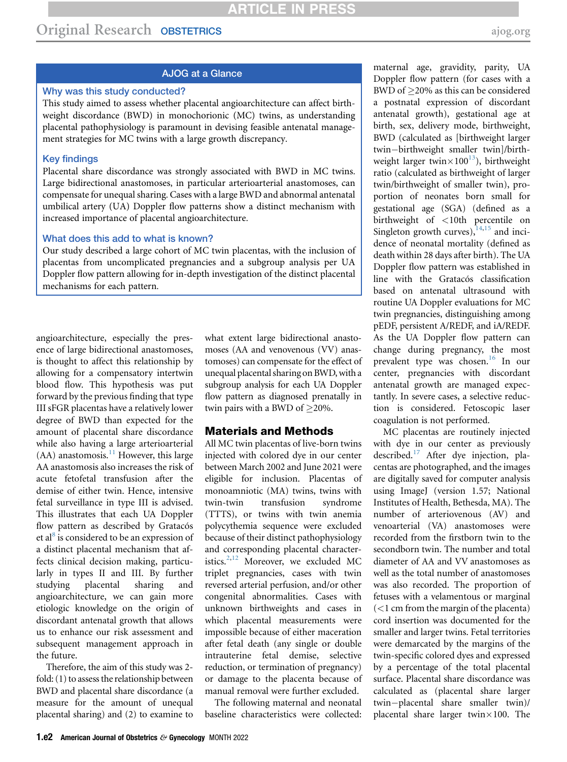## AJOG at a Glance

### Why was this study conducted?

This study aimed to assess whether placental angioarchitecture can affect birthweight discordance (BWD) in monochorionic (MC) twins, as understanding placental pathophysiology is paramount in devising feasible antenatal management strategies for MC twins with a large growth discrepancy.

### Key findings

Placental share discordance was strongly associated with BWD in MC twins. Large bidirectional anastomoses, in particular arterioarterial anastomoses, can compensate for unequal sharing. Cases with a large BWD and abnormal antenatal umbilical artery (UA) Doppler flow patterns show a distinct mechanism with increased importance of placental angioarchitecture.

### What does this add to what is known?

Our study described a large cohort of MC twin placentas, with the inclusion of placentas from uncomplicated pregnancies and a subgroup analysis per UA Doppler flow pattern allowing for in-depth investigation of the distinct placental mechanisms for each pattern.

angioarchitecture, especially the presence of large bidirectional anastomoses, is thought to affect this relationship by allowing for a compensatory intertwin blood flow. This hypothesis was put forward by the previous finding that type III sFGR placentas have a relatively lower degree of BWD than expected for the amount of placental share discordance while also having a large arterioarterial  $(AA)$  anastomosis.<sup>[11](#page-8-8)</sup> However, this large AA anastomosis also increases the risk of acute fetofetal transfusion after the demise of either twin. Hence, intensive fetal surveillance in type III is advised. This illustrates that each UA Doppler flow pattern as described by Gratacós et al<sup>[8](#page-8-5)</sup> is considered to be an expression of a distinct placental mechanism that affects clinical decision making, particularly in types II and III. By further studying placental sharing and angioarchitecture, we can gain more etiologic knowledge on the origin of discordant antenatal growth that allows us to enhance our risk assessment and subsequent management approach in the future.

Therefore, the aim of this study was 2 fold: (1) to assess the relationship between BWD and placental share discordance (a measure for the amount of unequal placental sharing) and (2) to examine to what extent large bidirectional anastomoses (AA and venovenous (VV) anastomoses) can compensate for the effect of unequal placental sharing on BWD, with a subgroup analysis for each UA Doppler flow pattern as diagnosed prenatally in twin pairs with a BWD of  $>$ 20%.

## Materials and Methods

All MC twin placentas of live-born twins injected with colored dye in our center between March 2002 and June 2021 were eligible for inclusion. Placentas of monoamniotic (MA) twins, twins with twin-twin transfusion syndrome (TTTS), or twins with twin anemia polycythemia sequence were excluded because of their distinct pathophysiology and corresponding placental character-istics.<sup>[2](#page-8-1)[,12](#page-8-9)</sup> Moreover, we excluded MC triplet pregnancies, cases with twin reversed arterial perfusion, and/or other congenital abnormalities. Cases with unknown birthweights and cases in which placental measurements were impossible because of either maceration after fetal death (any single or double intrauterine fetal demise, selective reduction, or termination of pregnancy) or damage to the placenta because of manual removal were further excluded.

The following maternal and neonatal baseline characteristics were collected:

maternal age, gravidity, parity, UA Doppler flow pattern (for cases with a BWD of  $\geq$ 20% as this can be considered a postnatal expression of discordant antenatal growth), gestational age at birth, sex, delivery mode, birthweight, BWD (calculated as [birthweight larger twin-birthweight smaller twin]/birthweight larger twin $\times100^{13}$  $\times100^{13}$  $\times100^{13}$ ), birthweight ratio (calculated as birthweight of larger twin/birthweight of smaller twin), proportion of neonates born small for gestational age (SGA) (defined as a birthweight of <10th percentile on Singleton growth curves), $14,15$  $14,15$  and incidence of neonatal mortality (defined as death within 28 days after birth). The UA Doppler flow pattern was established in line with the Gratacós classification based on antenatal ultrasound with routine UA Doppler evaluations for MC twin pregnancies, distinguishing among pEDF, persistent A/REDF, and iA/REDF. As the UA Doppler flow pattern can change during pregnancy, the most prevalent type was chosen.<sup>[16](#page-8-13)</sup> In our center, pregnancies with discordant antenatal growth are managed expectantly. In severe cases, a selective reduction is considered. Fetoscopic laser coagulation is not performed.

MC placentas are routinely injected with dye in our center as previously described.<sup>[17](#page-8-14)</sup> After dye injection, placentas are photographed, and the images are digitally saved for computer analysis using ImageJ (version 1.57; National Institutes of Health, Bethesda, MA). The number of arteriovenous (AV) and venoarterial (VA) anastomoses were recorded from the firstborn twin to the secondborn twin. The number and total diameter of AA and VV anastomoses as well as the total number of anastomoses was also recorded. The proportion of fetuses with a velamentous or marginal  $\left($  < 1 cm from the margin of the placenta) cord insertion was documented for the smaller and larger twins. Fetal territories were demarcated by the margins of the twin-specific colored dyes and expressed by a percentage of the total placental surface. Placental share discordance was calculated as (placental share larger twin-placental share smaller twin)/ placental share larger twin $\times100$ . The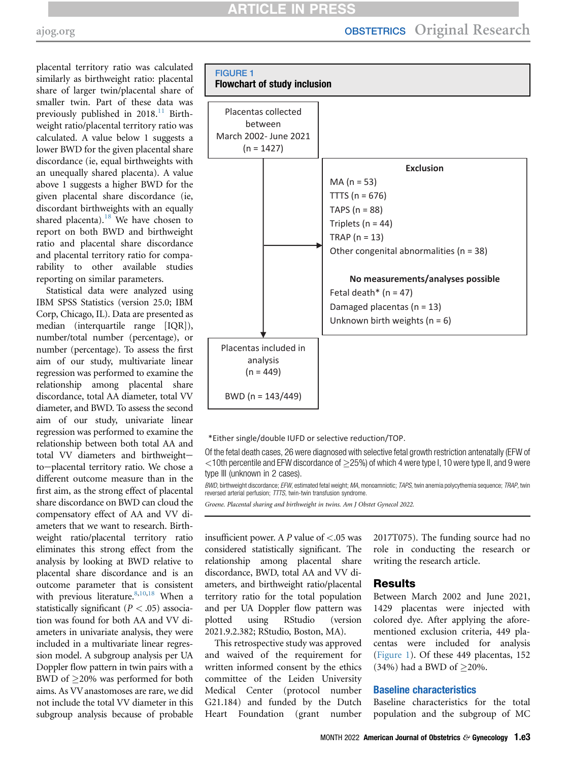placental territory ratio was calculated similarly as birthweight ratio: placental share of larger twin/placental share of smaller twin. Part of these data was previously published in  $2018$ <sup>[11](#page-8-8)</sup> Birthweight ratio/placental territory ratio was calculated. A value below 1 suggests a lower BWD for the given placental share discordance (ie, equal birthweights with an unequally shared placenta). A value above 1 suggests a higher BWD for the given placental share discordance (ie, discordant birthweights with an equally shared placenta).<sup>[18](#page-8-15)</sup> We have chosen to report on both BWD and birthweight ratio and placental share discordance and placental territory ratio for comparability to other available studies reporting on similar parameters.

Statistical data were analyzed using IBM SPSS Statistics (version 25.0; IBM Corp, Chicago, IL). Data are presented as median (interquartile range [IQR]), number/total number (percentage), or number (percentage). To assess the first aim of our study, multivariate linear regression was performed to examine the relationship among placental share discordance, total AA diameter, total VV diameter, and BWD. To assess the second aim of our study, univariate linear regression was performed to examine the relationship between both total AA and total VV diameters and birthweightto-placental territory ratio. We chose a different outcome measure than in the first aim, as the strong effect of placental share discordance on BWD can cloud the compensatory effect of AA and VV diameters that we want to research. Birthweight ratio/placental territory ratio eliminates this strong effect from the analysis by looking at BWD relative to placental share discordance and is an outcome parameter that is consistent with previous literature.  $8,10,18$  $8,10,18$  $8,10,18$  When a statistically significant  $(P < .05)$  association was found for both AA and VV diameters in univariate analysis, they were included in a multivariate linear regression model. A subgroup analysis per UA Doppler flow pattern in twin pairs with a BWD of 20% was performed for both aims. As VV anastomoses are rare, we did not include the total VV diameter in this subgroup analysis because of probable

<span id="page-2-0"></span>

\*Either single/double IUFD or selective reduction/TOP.

Of the fetal death cases, 26 were diagnosed with selective fetal growth restriction antenatally (EFW of  $<$ 10th percentile and EFW discordance of  $>$ 25%) of which 4 were type I, 10 were type II, and 9 were type III (unknown in 2 cases).

BWD, birthweight discordance; EFW, estimated fetal weight; MA, monoamniotic; TAPS, twin anemia polycythemia sequence; TRAP, twin reversed arterial perfusion; TTTS, twin-twin transfusion syndrome.

Groene. Placental sharing and birthweight in twins. Am J Obstet Gynecol 2022.

insufficient power. A  $P$  value of  $\lt$  0.05 was considered statistically significant. The relationship among placental share discordance, BWD, total AA and VV diameters, and birthweight ratio/placental territory ratio for the total population and per UA Doppler flow pattern was plotted using RStudio (version 2021.9.2.382; RStudio, Boston, MA).

This retrospective study was approved and waived of the requirement for written informed consent by the ethics committee of the Leiden University Medical Center (protocol number G21.184) and funded by the Dutch Heart Foundation (grant number

2017T075). The funding source had no role in conducting the research or writing the research article.

### Results

Between March 2002 and June 2021, 1429 placentas were injected with colored dye. After applying the aforementioned exclusion criteria, 449 placentas were included for analysis [\(Figure 1\)](#page-2-0). Of these 449 placentas, 152 (34%) had a BWD of  $\geq$ 20%.

### Baseline characteristics

Baseline characteristics for the total population and the subgroup of MC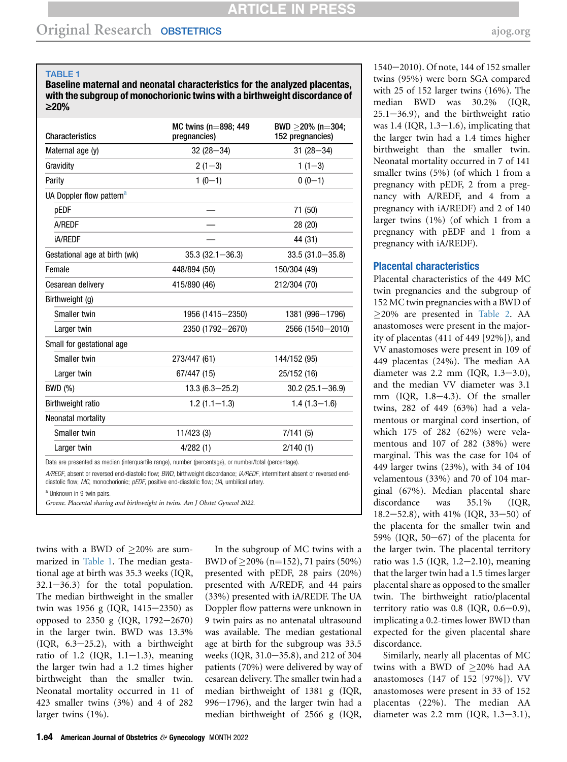#### <span id="page-3-0"></span>TABLE 1

Baseline maternal and neonatal characteristics for the analyzed placentas, with the subgroup of monochorionic twins with a birthweight discordance of ‡20%

| <b>Characteristics</b>               | MC twins ( $n=898$ ; 449<br>pregnancies) | BWD $\geq$ 20% (n=304;<br>152 pregnancies) |
|--------------------------------------|------------------------------------------|--------------------------------------------|
| Maternal age (y)                     | $32(28 - 34)$                            | $31(28 - 34)$                              |
| Gravidity                            | $2(1-3)$                                 | $1(1-3)$                                   |
| Parity                               | $1(0-1)$                                 | $0(0-1)$                                   |
| UA Doppler flow pattern <sup>a</sup> |                                          |                                            |
| pEDF                                 |                                          | 71 (50)                                    |
| A/REDF                               |                                          | 28 (20)                                    |
| <b>iA/REDF</b>                       |                                          | 44 (31)                                    |
| Gestational age at birth (wk)        | $35.3(32.1 - 36.3)$                      | $33.5(31.0 - 35.8)$                        |
| Female                               | 448/894 (50)                             | 150/304 (49)                               |
| Cesarean delivery                    | 415/890 (46)                             | 212/304 (70)                               |
| Birthweight (g)                      |                                          |                                            |
| Smaller twin                         | 1956 (1415-2350)                         | 1381 (996-1796)                            |
| Larger twin                          | 2350 (1792-2670)                         | 2566 (1540-2010)                           |
| Small for gestational age            |                                          |                                            |
| Smaller twin                         | 273/447 (61)                             | 144/152 (95)                               |
| Larger twin                          | 67/447 (15)                              | 25/152 (16)                                |
| BWD (%)                              | $13.3(6.3 - 25.2)$                       | $30.2(25.1 - 36.9)$                        |
| <b>Birthweight ratio</b>             | $1.2(1.1-1.3)$                           | $1.4(1.3 - 1.6)$                           |
| Neonatal mortality                   |                                          |                                            |
| Smaller twin                         | 11/423(3)                                | 7/141(5)                                   |
| Larger twin                          | 4/282(1)                                 | 2/140(1)                                   |
|                                      |                                          |                                            |

Data are presented as median (interquartile range), number (percentage), or number/total (percentage).

A/REDF, absent or reversed end-diastolic flow; BWD, birthweight discordance; iA/REDF, intermittent absent or reversed enddiastolic flow; MC, monochorionic; pEDF, positive end-diastolic flow; UA, umbilical artery.

<span id="page-3-1"></span>Unknown in 9 twin pairs.

Groene. Placental sharing and birthweight in twins. Am J Obstet Gynecol 2022.

twins with a BWD of  $\geq$ 20% are summarized in [Table 1](#page-3-0). The median gestational age at birth was 35.3 weeks (IQR,  $32.1 - 36.3$ ) for the total population. The median birthweight in the smaller twin was 1956 g (IQR,  $1415-2350$ ) as opposed to 2350 g (IQR,  $1792-2670$ ) in the larger twin. BWD was 13.3%  $(IQR, 6.3-25.2)$ , with a birthweight ratio of 1.2 (IQR,  $1.1-1.3$ ), meaning the larger twin had a 1.2 times higher birthweight than the smaller twin. Neonatal mortality occurred in 11 of 423 smaller twins (3%) and 4 of 282 larger twins (1%).

In the subgroup of MC twins with a BWD of  $\geq$ 20% (n=152), 71 pairs (50%) presented with pEDF, 28 pairs (20%) presented with A/REDF, and 44 pairs (33%) presented with iA/REDF. The UA Doppler flow patterns were unknown in 9 twin pairs as no antenatal ultrasound was available. The median gestational age at birth for the subgroup was 33.5 weeks (IQR, 31.0-35.8), and 212 of 304 patients (70%) were delivered by way of cesarean delivery. The smaller twin had a median birthweight of 1381 g (IQR,  $996-1796$ ), and the larger twin had a median birthweight of 2566 g (IQR,

1540-2010). Of note, 144 of 152 smaller twins (95%) were born SGA compared with 25 of 152 larger twins (16%). The median BWD was 30.2% (IQR,  $25.1 - 36.9$ , and the birthweight ratio was  $1.4$  (IQR,  $1.3-1.6$ ), implicating that the larger twin had a 1.4 times higher birthweight than the smaller twin. Neonatal mortality occurred in 7 of 141 smaller twins (5%) (of which 1 from a pregnancy with pEDF, 2 from a pregnancy with A/REDF, and 4 from a pregnancy with iA/REDF) and 2 of 140 larger twins (1%) (of which 1 from a pregnancy with pEDF and 1 from a pregnancy with iA/REDF).

### Placental characteristics

Placental characteristics of the 449 MC twin pregnancies and the subgroup of 152 MC twin pregnancies with a BWD of  $\geq$ 20% are presented in [Table 2](#page-4-0). AA anastomoses were present in the majority of placentas (411 of 449 [92%]), and VV anastomoses were present in 109 of 449 placentas (24%). The median AA diameter was  $2.2 \text{ mm}$  (IQR,  $1.3-3.0$ ), and the median VV diameter was 3.1 mm (IQR,  $1.8-4.3$ ). Of the smaller twins, 282 of 449 (63%) had a velamentous or marginal cord insertion, of which 175 of 282 (62%) were velamentous and 107 of 282 (38%) were marginal. This was the case for 104 of 449 larger twins (23%), with 34 of 104 velamentous (33%) and 70 of 104 marginal (67%). Median placental share discordance was 35.1% (IQR,  $18.2 - 52.8$ ), with  $41\%$  (IQR,  $33 - 50$ ) of the placenta for the smaller twin and 59% (IQR,  $50-67$ ) of the placenta for the larger twin. The placental territory ratio was  $1.5$  (IQR,  $1.2-2.10$ ), meaning that the larger twin had a 1.5 times larger placental share as opposed to the smaller twin. The birthweight ratio/placental territory ratio was  $0.8$  (IQR,  $0.6-0.9$ ), implicating a 0.2-times lower BWD than expected for the given placental share discordance.

Similarly, nearly all placentas of MC twins with a BWD of >20% had AA anastomoses (147 of 152 [97%]). VV anastomoses were present in 33 of 152 placentas (22%). The median AA diameter was  $2.2 \text{ mm}$  (IQR,  $1.3-3.1$ ),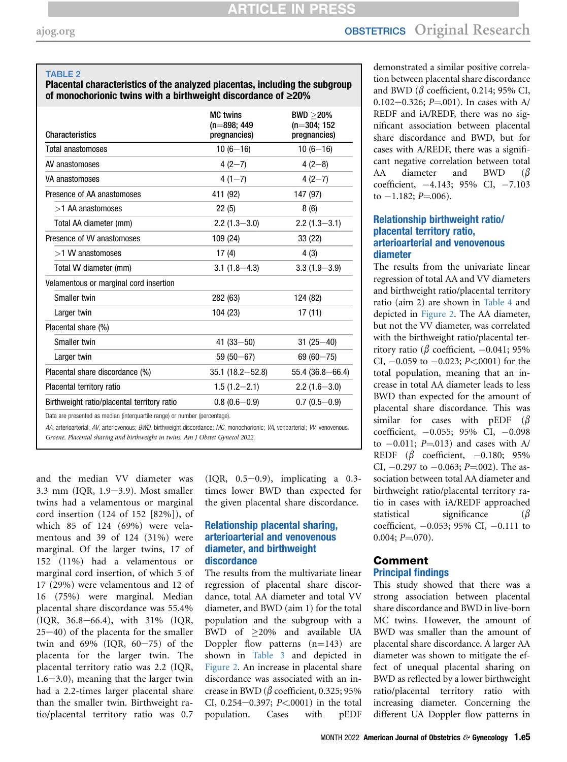# [ajog.org](http://www.AJOG.org) **OBSTETRICS** Original Research

### <span id="page-4-0"></span>TABLE 2

### Placental characteristics of the analyzed placentas, including the subgroup of monochorionic twins with a birthweight discordance of  $\geq 20\%$

| <b>Characteristics</b>                                                     | <b>MC</b> twins<br>$(n=898; 449)$<br>pregnancies) | $BWD > 20\%$<br>$(n=304; 152)$<br>pregnancies) |
|----------------------------------------------------------------------------|---------------------------------------------------|------------------------------------------------|
| Total anastomoses                                                          | $10(6-16)$                                        | $10(6-16)$                                     |
| AV anastomoses                                                             | $4(2-7)$                                          | $4(2-8)$                                       |
| VA anastomoses                                                             | $4(1-7)$                                          | $4(2-7)$                                       |
| Presence of AA anastomoses                                                 | 411 (92)                                          | 147 (97)                                       |
| $>1$ AA anastomoses                                                        | 22(5)                                             | 8(6)                                           |
| Total AA diameter (mm)                                                     | $2.2(1.3 - 3.0)$                                  | $2.2(1.3 - 3.1)$                               |
| Presence of VV anastomoses                                                 | 109 (24)                                          | 33 (22)                                        |
| >1 W anastomoses                                                           | 17(4)                                             | 4(3)                                           |
| Total W diameter (mm)                                                      | $3.1(1.8 - 4.3)$                                  | $3.3(1.9 - 3.9)$                               |
| Velamentous or marginal cord insertion                                     |                                                   |                                                |
| Smaller twin                                                               | 282 (63)                                          | 124 (82)                                       |
| Larger twin                                                                | 104 (23)                                          | 17(11)                                         |
| Placental share (%)                                                        |                                                   |                                                |
| Smaller twin                                                               | $41(33 - 50)$                                     | $31(25 - 40)$                                  |
| Larger twin                                                                | $59(50 - 67)$                                     | $69(60 - 75)$                                  |
| Placental share discordance (%)                                            | $35.1(18.2 - 52.8)$                               | $55.4(36.8 - 66.4)$                            |
| Placental territory ratio                                                  | $1.5(1.2 - 2.1)$                                  | $2.2(1.6 - 3.0)$                               |
| Birthweight ratio/placental territory ratio                                | $0.8(0.6-0.9)$                                    | $0.7(0.5-0.9)$                                 |
| Data are presented as median (interguartile range) or number (percentage). |                                                   |                                                |

AA, arterioarterial; AV, arteriovenous; BWD, birthweight discordance; MC, monochorionic; VA, venoarterial; VV, venovenous. Groene. Placental sharing and birthweight in twins. Am J Obstet Gynecol 2022.

and the median VV diameter was  $3.3$  mm (IQR,  $1.9-3.9$ ). Most smaller twins had a velamentous or marginal cord insertion (124 of 152 [82%]), of which 85 of 124 (69%) were velamentous and 39 of 124 (31%) were marginal. Of the larger twins, 17 of 152 (11%) had a velamentous or marginal cord insertion, of which 5 of 17 (29%) were velamentous and 12 of 16 (75%) were marginal. Median placental share discordance was 55.4% (IQR, 36.8-66.4), with 31% (IQR,  $25-40$ ) of the placenta for the smaller twin and  $69\%$  (IQR,  $60-75$ ) of the placenta for the larger twin. The placental territory ratio was 2.2 (IQR,  $1.6-3.0$ ), meaning that the larger twin had a 2.2-times larger placental share than the smaller twin. Birthweight ratio/placental territory ratio was 0.7

 $(IQR, 0.5-0.9)$ , implicating a 0.3times lower BWD than expected for the given placental share discordance.

### Relationship placental sharing, arterioarterial and venovenous diameter, and birthweight discordance

The results from the multivariate linear regression of placental share discordance, total AA diameter and total VV diameter, and BWD (aim 1) for the total population and the subgroup with a BWD of 20% and available UA Doppler flow patterns  $(n=143)$  are shown in [Table 3](#page-5-0) and depicted in [Figure 2](#page-7-0). An increase in placental share discordance was associated with an increase in BWD ( $\beta$  coefficient, 0.325; 95% CI, 0.254 $-0.397$ ; P<0001) in the total population. Cases with pEDF

demonstrated a similar positive correlation between placental share discordance and BWD ( $\beta$  coefficient, 0.214; 95% CI, 0.102 $-0.326$ ; P=001). In cases with A/ REDF and iA/REDF, there was no significant association between placental share discordance and BWD, but for cases with A/REDF, there was a significant negative correlation between total AA diameter and BWD  $(\beta$ coefficient,  $-4.143$ ; 95% CI,  $-7.103$ to  $-1.182$ ; P=006).

### Relationship birthweight ratio/ placental territory ratio, arterioarterial and venovenous diameter

The results from the univariate linear regression of total AA and VV diameters and birthweight ratio/placental territory ratio (aim 2) are shown in [Table 4](#page-6-0) and depicted in [Figure 2](#page-7-0). The AA diameter, but not the VV diameter, was correlated with the birthweight ratio/placental territory ratio ( $\beta$  coefficient, -0.041; 95% CI,  $-0.059$  to  $-0.023$ ; P<.0001) for the total population, meaning that an increase in total AA diameter leads to less BWD than expected for the amount of placental share discordance. This was similar for cases with pEDF  $(\beta$ coefficient,  $-0.055$ ; 95% CI,  $-0.098$ to  $-0.011$ ; P=013) and cases with A/ REDF  $(\beta$  coefficient, -0.180; 95% CI,  $-0.297$  to  $-0.063$ ; P=002). The association between total AA diameter and birthweight ratio/placental territory ratio in cases with iA/REDF approached statistical significance  $(\beta$ coefficient,  $-0.053$ ; 95% CI,  $-0.111$  to  $0.004; P = 070$ .

# Comment

## Principal findings

This study showed that there was a strong association between placental share discordance and BWD in live-born MC twins. However, the amount of BWD was smaller than the amount of placental share discordance. A larger AA diameter was shown to mitigate the effect of unequal placental sharing on BWD as reflected by a lower birthweight ratio/placental territory ratio with increasing diameter. Concerning the different UA Doppler flow patterns in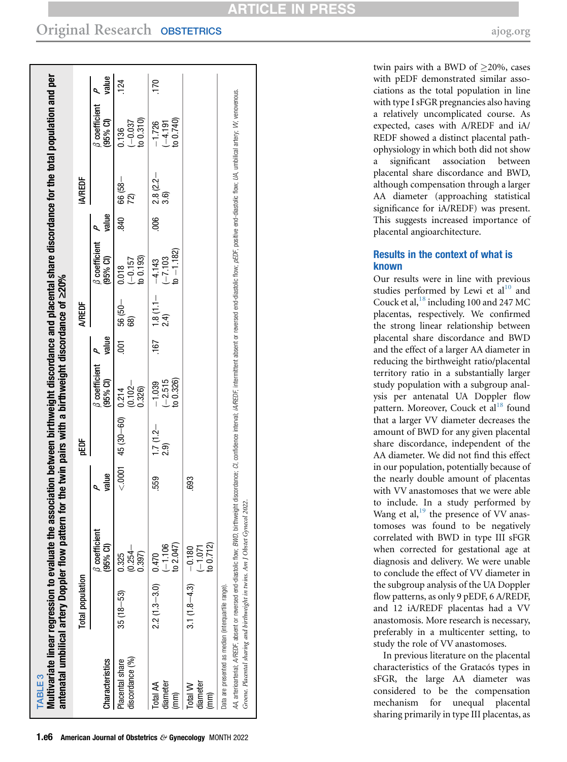<span id="page-5-0"></span>

| antenatal umbilical artery Doppler flow pattern                                                                                | Total population |                                                                                                                                                                                                                                         |       | pEDF                        | for the twin pairs with a birthweight discordance of $\geq$ 20% |          | <b>A/REDF</b>      |                                     |       | <b>IA/REDF</b>            |                                    |       |
|--------------------------------------------------------------------------------------------------------------------------------|------------------|-----------------------------------------------------------------------------------------------------------------------------------------------------------------------------------------------------------------------------------------|-------|-----------------------------|-----------------------------------------------------------------|----------|--------------------|-------------------------------------|-------|---------------------------|------------------------------------|-------|
| Characteristics                                                                                                                |                  | $\beta$ coefficient<br>$(95%$ CI)                                                                                                                                                                                                       | value |                             | <b><i>B</i></b> coefficient<br>$(95%$ CI)                       | value    |                    | <b>8</b> coefficient<br>(95% Cl)    | value |                           | <b>B</b> coefficient<br>$(95%$ Cl) | value |
| discordance (%)<br>Placental share                                                                                             | $35(18 - 53)$    | $(0.254 -$<br>0.325<br>0.397                                                                                                                                                                                                            |       | $0.214$ $45(30-60)$ $0.214$ | $0.102 -$<br>0.326)                                             | 5<br>001 | $-050$<br>68)      | to 0.193<br>$-0.157$<br>0.018       |       | $\frac{2}{1840}$ 66 (58 - | to 0.310<br>$(-0.037)$<br>0.136    | 124   |
| diameter<br>Total AA<br>(mm)                                                                                                   | $2.2(1.3 - 3.0)$ | to 2.047)<br>$(-1.106$<br>0.470                                                                                                                                                                                                         | 559   | $1.7(1.2 -$<br>2.9)         | to 0.326)<br>$-2.515$<br>$-1.039$                               | 167      | $1.8(1.1 -$<br>2.4 | $to -1.182$<br>$-7,103$<br>$-4.143$ | 80e   | 2.8 (2.2–<br>3.6)         | to 0.740)<br>$-1.726$<br>$-4.191$  | 170   |
| diameter<br>Total W<br>$(\mathsf{mm})$                                                                                         | $3.1(1.8 - 4.3)$ | to 0.712)<br>$-0.180$<br>$(-1.071)$                                                                                                                                                                                                     | 693   |                             |                                                                 |          |                    |                                     |       |                           |                                    |       |
| Groene. Placental sharing and birthweight in twins. Am J Obstet Gynecol<br>Data are presented as median (interquartile range). |                  | AA, arterioarterial; A/REDF, absent or reversed end-diastolic flow; BWD, birthweight discordance; CI, confidence interval, iA/REDF, intermittent absent or reversed end-diastolic flow; pEDF, positive end-diastolic flow; UA,<br>2022. |       |                             |                                                                 |          |                    |                                     |       |                           |                                    |       |

twin pairs with a BWD of  $\geq$ 20%, cases with pEDF demonstrated similar associations as the total population in line with type I sFGR pregnancies also having a relatively uncomplicated course. As expected, cases with A/REDF and iA/ REDF showed a distinct placental pathophysiology in which both did not show a signi ficant association between placental share discordance and BWD, although compensation through a larger AA diameter (approaching statistical signi ficance for iA/REDF) was present. This suggests increased importance of placental angioarchitecture.

## Results in the context of what is known

Our results were in line with previous studies performed by Lewi et  $al^{10}$  $al^{10}$  $al^{10}$  and Couck et al,  $^{18}$  $^{18}$  $^{18}$  including 100 and 247 MC placentas, respectively. We con firmed the strong linear relationship between placental share discordance and BWD and the effect of a larger AA diameter in reducing the birthweight ratio/placental territory ratio in a substantially larger study population with a subgroup analysis per antenatal UA Doppler flow pattern. Moreover, Couck et al<sup>[18](#page-8-15)</sup> found that a larger VV diameter decreases the amount of BWD for any given placental share discordance, independent of the AA diameter. We did not find this effect in our population, potentially because of the nearly double amount of placentas with VV anastomoses that we were able to include. In a study performed by Wang et al, $^{19}$  $^{19}$  $^{19}$  the presence of VV anastomoses was found to be negatively correlated with BWD in type III sFGR when corrected for gestational age at diagnosis and delivery. We were unable to conclude the effect of VV diameter in the subgroup analysis of the UA Doppler flow patterns, as only 9 pEDF, 6 A/REDF, and 12 iA/REDF placentas had a VV anastomosis. More research is necessary, preferably in a multicenter setting, to study the role of VV anastomoses.

In previous literature on the placental characteristics of the Gratacós types in sFGR, the large AA diameter was considered to be the compensation mechanism for unequal placental sharing primarily in type III placentas, as

TABLE 3

TABLE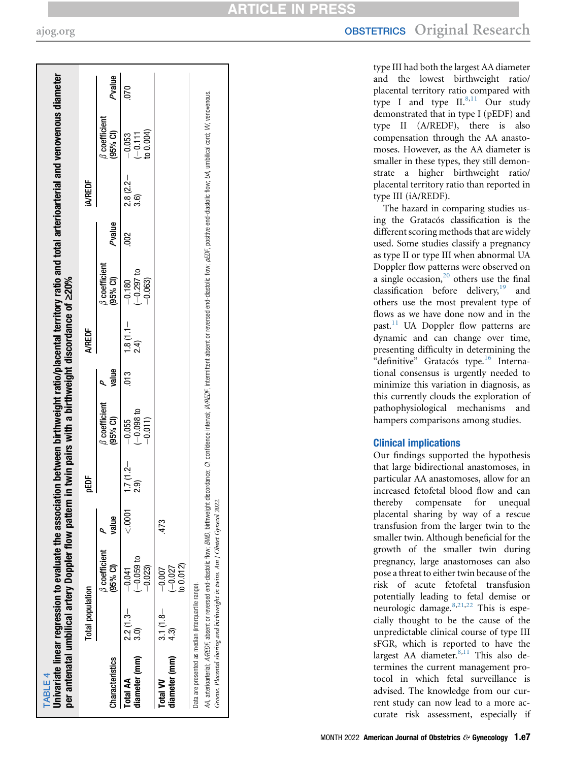<span id="page-6-0"></span>Univariate linear regression to evaluate the association between birthweight ratio/placental territory ratio and total arterioarterial and venovenous diameter Univariate linear regression to evaluate the association between birthweight ratio/placental territory ratio and total arterioarterial and venovenous diameter appropriately umbilical artery Doppler flow pattern in twin pairs with a birthweight discordance of  $>$ 90% per antenatal umbilical artery Doppler flow pattern in twin pairs with a birthweight discordance of ‡20% ner:

|                                                     |                    | compared to the construction of the compared of the compared of the compared of the compared of the compared of the compared of the compared of the compared of the compared of the compared of the compared of the compared o |        |                          |                                    |       |                    |                                  |               |                  |                                        |        |
|-----------------------------------------------------|--------------------|--------------------------------------------------------------------------------------------------------------------------------------------------------------------------------------------------------------------------------|--------|--------------------------|------------------------------------|-------|--------------------|----------------------------------|---------------|------------------|----------------------------------------|--------|
|                                                     | Total population   |                                                                                                                                                                                                                                |        | pEDF                     |                                    |       | A/REDF             |                                  |               | <b>A/REDF</b>    |                                        |        |
| Characteristics                                     |                    | <b><i>B</i></b> coefficient<br>(95% Cl)                                                                                                                                                                                        | value  |                          | $\beta$ coefficient<br>(95% CI)    | value |                    | $\beta$ coefficient<br>(95% CI)  | Pvalue        |                  | $\beta$ coefficient<br>(95% CI)        | Pvalue |
| diameter (mm)<br>Total AA                           | $2.2(1.3-$         | $-0.059$ to<br>$-0.023$<br>$-0.041$                                                                                                                                                                                            | < 0001 | $1.7(1.2 -$<br><u>ର୍</u> | $(-0.098 t$<br>-0.011)<br>$-0.055$ | 5ig   | $1.8(1.1 -$<br>24) | $(-0.297 to -0.063)$<br>$-0.180$ | $\frac{2}{3}$ | $2.8(2.2 - 3.6)$ | $\frac{-0.053}{(-0.111)}$<br>to 0.004) |        |
| diameter (mm)<br><b>Total VV</b>                    | $3.1(1.8 -$<br>43) | to 0.012)<br>$-0.027$<br>$-0.007$                                                                                                                                                                                              | 473    |                          |                                    |       |                    |                                  |               |                  |                                        |        |
| Data are presented as median (interquartile range). |                    | 44 arteriorial- 4/BEDE and disable that disable flow- BMD hirthweight discordance disable interval- id/BEDE intermittent or centers and disable flow-of De productions the unbilied once W venous                              |        |                          |                                    |       |                    |                                  |               |                  |                                        |        |

AA, artericaties absent or reversed end-diastolic flow; BMD, intruwelght discordance; CI, confidence interval; iAREDF, intermittent absent or reversed end-diastolic flow; pEDF, positive end-diastolic flow; UA, unclilical c Groene. Placental sharing and birthweight in twins. Am J Obstet Gynecol 2022. Groene. Placental sharing and birthweight in twins. Am J Obstet Gynecol 2022 **ARTICLE IN PRES** 

type III had both the largest AA diameter and the lowest birthweight ratio/ placental territory ratio compared with type I and type  $II.^{8,11}$  $II.^{8,11}$  $II.^{8,11}$  $II.^{8,11}$  Our study demonstrated that in type I (pEDF) and type II (A/REDF), there is also compensation through the AA anastomoses. However, as the AA diameter is smaller in these types, they still demonstrate a higher birthweight ratio/ placental territory ratio than reported in type III (iA/REDF).

The hazard in comparing studies using the Gratacós classification is the different scoring methods that are widely used. Some studies classify a pregnancy as type II or type III when abnormal UA Doppler flow patterns were observed on a single occasion, $20$  others use the final classification before delivery,<sup>[19](#page-8-16)</sup> and others use the most prevalent type of flows as we have done now and in the past.<sup>[11](#page-8-8)</sup> UA Doppler flow patterns are dynamic and can change over time, presenting difficulty in determining the "definitive" Gratacós type.<sup>[16](#page-8-13)</sup> International consensus is urgently needed to minimize this variation in diagnosis, as this currently clouds the exploration of pathophysiological mechanisms and hampers comparisons among studies.

## Clinical implications

Our findings supported the hypothesis that large bidirectional anastomoses, in particular AA anastomoses, allow for an increased fetofetal blood flow and can thereby compensate for unequal placental sharing by way of a rescue transfusion from the larger twin to the smaller twin. Although bene ficial for the growth of the smaller twin during pregnancy, large anastomoses can also pose a threat to either twin because of the risk of acute fetofetal transfusion potentially leading to fetal demise or neurologic damage.<sup>[8](#page-8-5),[21](#page-8-18),[22](#page-9-0)</sup> This is especially thought to be the cause of the unpredictable clinical course of type III sFGR, which is reported to have the largest AA diameter.<sup>[8](#page-8-5)[,11](#page-8-8)</sup> This also determines the current management protocol in which fetal surveillance is advised. The knowledge from our current study can now lead to a more accurate risk assessment, especially if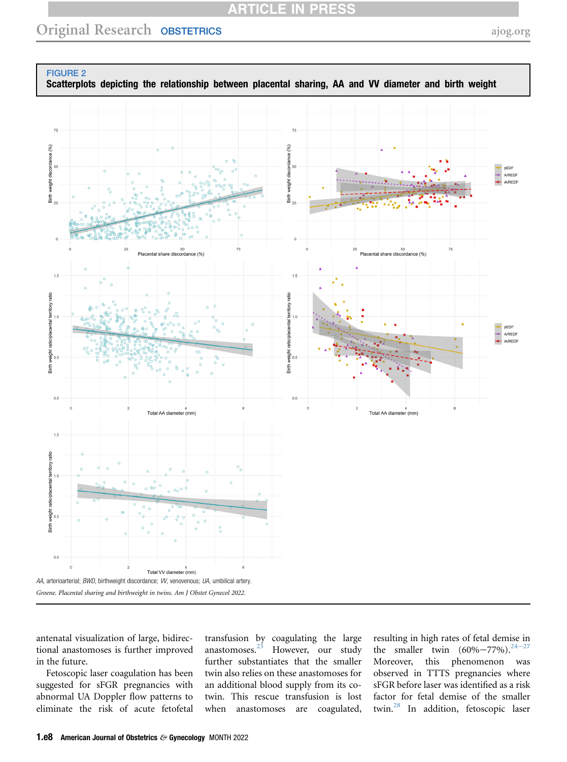## **ARTICLE IN PRESS**

## Original Research OBSTETRICS [ajog.org](http://www.AJOG.org)

<span id="page-7-0"></span>FIGURE 2 Scatterplots depicting the relationship between placental sharing, AA and VV diameter and birth weight  $75$ Birth weight discordance (%) 翁 **g** pEDF disc A/REDF veight **IA/REDE** 50<br>Placental share discordance (% share disco  $1.5$ weight ratio/placental territory ratio atio pEDF **A/REDE iA/REDF** rdight Sirth<br>Bi  $\frac{1}{10}$  $0<sub>0</sub>$ Total AA diameter (mm) Total AA diameter (mm)  $1.5$ weight ratio/placental territory ratio  $1.0$ Birth \  $0.0$ Total VV diameter (mm) AA, arterioarterial; BWD, birthweight discordance; VV, venovenous; UA, umbilical artery. Groene. Placental sharing and birthweight in twins. Am J Obstet Gynecol 2022.

antenatal visualization of large, bidirectional anastomoses is further improved in the future.

Fetoscopic laser coagulation has been suggested for sFGR pregnancies with abnormal UA Doppler flow patterns to eliminate the risk of acute fetofetal transfusion by coagulating the large anastomoses.[23](#page-9-1) However, our study further substantiates that the smaller twin also relies on these anastomoses for an additional blood supply from its cotwin. This rescue transfusion is lost when anastomoses are coagulated,

resulting in high rates of fetal dem[ise in](#page-9-2) the smaller twin  $(60\% - 77\%)$ . <sup>24-27</sup> Moreover, this phenomenon was observed in TTTS pregnancies where sFGR before laser was identified as a risk factor for fetal demise of the smaller twin.[28](#page-9-3) In addition, fetoscopic laser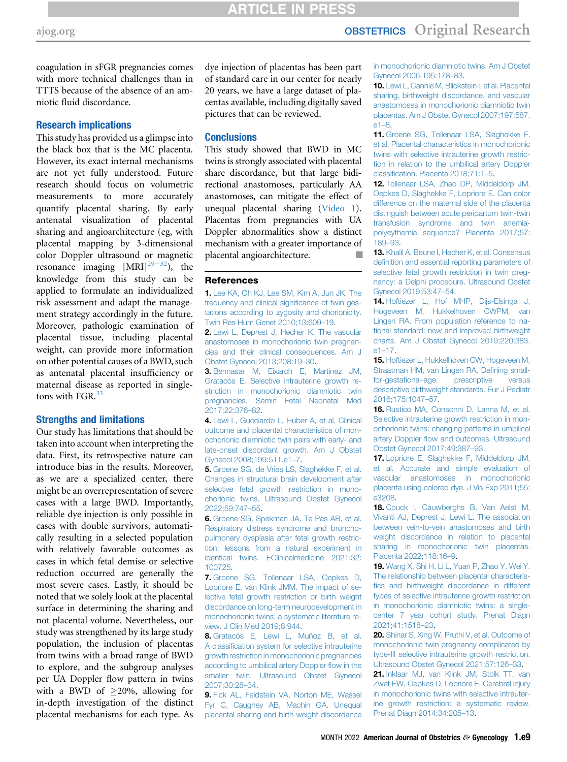# [ajog.org](http://www.AJOG.org) **OBSTETRICS** Original Research

coagulation in sFGR pregnancies comes with more technical challenges than in TTTS because of the absence of an amniotic fluid discordance.

### Research implications

This study has provided us a glimpse into the black box that is the MC placenta. However, its exact internal mechanisms are not yet fully understood. Future research should focus on volumetric measurements to more accurately quantify placental sharing. By early antenatal visualization of placental sharing and angioarchitecture (eg, with placental mapping by 3-dimensional color Doppler ultrasound or magnetic resonance imaging  $[MRI]^{29-32}$ ), the knowledge from this study can be applied to formulate an individualized risk assessment and adapt the management strategy accordingly in the future. Moreover, pathologic examination of placental tissue, including placental weight, can provide more information on other potential causes of a BWD, such as antenatal placental insufficiency or maternal disease as reported in single-tons with FGR.<sup>[33](#page-9-5)</sup>

### Strengths and limitations

Our study has limitations that should be taken into account when interpreting the data. First, its retrospective nature can introduce bias in the results. Moreover, as we are a specialized center, there might be an overrepresentation of severe cases with a large BWD. Importantly, reliable dye injection is only possible in cases with double survivors, automatically resulting in a selected population with relatively favorable outcomes as cases in which fetal demise or selective reduction occurred are generally the most severe cases. Lastly, it should be noted that we solely look at the placental surface in determining the sharing and not placental volume. Nevertheless, our study was strengthened by its large study population, the inclusion of placentas from twins with a broad range of BWD to explore, and the subgroup analyses per UA Doppler flow pattern in twins with a BWD of  $>20\%$ , allowing for in-depth investigation of the distinct placental mechanisms for each type. As

dye injection of placentas has been part of standard care in our center for nearly 20 years, we have a large dataset of placentas available, including digitally saved pictures that can be reviewed.

### **Conclusions**

This study showed that BWD in MC twins is strongly associated with placental share discordance, but that large bidirectional anastomoses, particularly AA anastomoses, can mitigate the effect of unequal placental sharing (Video 1). Placentas from pregnancies with UA Doppler abnormalities show a distinct mechanism with a greater importance of placental angioarchitecture.

#### <span id="page-8-0"></span>**References**

1. Lee KA, Oh KJ, Lee SM, Kim A, Jun JK. The frequency and clinical significance of twin gestations according to zygosity and chorionicity. Twin Res Hum Genet 2010;13:609–19.

<span id="page-8-1"></span>2. [Lewi L, Deprest J, Hecher K. The vascular](http://refhub.elsevier.com/S0002-9378(22)00434-3/sref2) [anastomoses in monochorionic twin pregnan](http://refhub.elsevier.com/S0002-9378(22)00434-3/sref2)[cies and their clinical consequences. Am J](http://refhub.elsevier.com/S0002-9378(22)00434-3/sref2) [Obstet Gynecol 2013;208:19](http://refhub.elsevier.com/S0002-9378(22)00434-3/sref2)–30.

<span id="page-8-2"></span>3. [Bennasar M, Eixarch E, Martinez JM,](http://refhub.elsevier.com/S0002-9378(22)00434-3/sref3) [Gratacós E. Selective intrauterine growth re](http://refhub.elsevier.com/S0002-9378(22)00434-3/sref3)[striction in monochorionic diamniotic twin](http://refhub.elsevier.com/S0002-9378(22)00434-3/sref3) [pregnancies. Semin Fetal Neonatal Med](http://refhub.elsevier.com/S0002-9378(22)00434-3/sref3) [2017;22:376](http://refhub.elsevier.com/S0002-9378(22)00434-3/sref3)–82.

<span id="page-8-3"></span>4. [Lewi L, Gucciardo L, Huber A, et al. Clinical](http://refhub.elsevier.com/S0002-9378(22)00434-3/sref4) [outcome and placental characteristics of mon](http://refhub.elsevier.com/S0002-9378(22)00434-3/sref4)[ochorionic diamniotic twin pairs with early- and](http://refhub.elsevier.com/S0002-9378(22)00434-3/sref4) [late-onset discordant growth. Am J Obstet](http://refhub.elsevier.com/S0002-9378(22)00434-3/sref4) [Gynecol 2008;199:511.e1](http://refhub.elsevier.com/S0002-9378(22)00434-3/sref4)–7.

<span id="page-8-4"></span>5. [Groene SG, de Vries LS, Slaghekke F, et al.](http://refhub.elsevier.com/S0002-9378(22)00434-3/sref5) [Changes in structural brain development after](http://refhub.elsevier.com/S0002-9378(22)00434-3/sref5) [selective fetal growth restriction in mono](http://refhub.elsevier.com/S0002-9378(22)00434-3/sref5)[chorionic twins. Ultrasound Obstet Gynecol](http://refhub.elsevier.com/S0002-9378(22)00434-3/sref5) [2022;59:747](http://refhub.elsevier.com/S0002-9378(22)00434-3/sref5)–55.

6. [Groene SG, Spekman JA, Te Pas AB, et al.](http://refhub.elsevier.com/S0002-9378(22)00434-3/sref6) [Respiratory distress syndrome and broncho](http://refhub.elsevier.com/S0002-9378(22)00434-3/sref6)[pulmonary dysplasia after fetal growth restric](http://refhub.elsevier.com/S0002-9378(22)00434-3/sref6)[tion: lessons from a natural experiment in](http://refhub.elsevier.com/S0002-9378(22)00434-3/sref6) [identical twins. EClinicalmedicine 2021;32:](http://refhub.elsevier.com/S0002-9378(22)00434-3/sref6) [100725.](http://refhub.elsevier.com/S0002-9378(22)00434-3/sref6)

7. [Groene SG, Tollenaar LSA, Oepkes D,](http://refhub.elsevier.com/S0002-9378(22)00434-3/sref7) [Lopriore E, van Klink JMM. The impact of se](http://refhub.elsevier.com/S0002-9378(22)00434-3/sref7)[lective fetal growth restriction or birth weight](http://refhub.elsevier.com/S0002-9378(22)00434-3/sref7) [discordance on long-term neurodevelopment in](http://refhub.elsevier.com/S0002-9378(22)00434-3/sref7) [monochorionic twins: a systematic literature re](http://refhub.elsevier.com/S0002-9378(22)00434-3/sref7)[view. J Clin Med 2019;8:944](http://refhub.elsevier.com/S0002-9378(22)00434-3/sref7).

<span id="page-8-5"></span>8. [Gratacós E, Lewi L, Muñoz B, et al.](http://refhub.elsevier.com/S0002-9378(22)00434-3/sref8) A classifi[cation system for selective intrauterine](http://refhub.elsevier.com/S0002-9378(22)00434-3/sref8) [growth restriction in monochorionic pregnancies](http://refhub.elsevier.com/S0002-9378(22)00434-3/sref8) [according to umbilical artery Doppler](http://refhub.elsevier.com/S0002-9378(22)00434-3/sref8) flow in the [smaller twin. Ultrasound Obstet Gynecol](http://refhub.elsevier.com/S0002-9378(22)00434-3/sref8) [2007;30:28](http://refhub.elsevier.com/S0002-9378(22)00434-3/sref8)–34.

<span id="page-8-6"></span>9. [Fick AL, Feldstein VA, Norton ME, Wassel](http://refhub.elsevier.com/S0002-9378(22)00434-3/sref9) [Fyr C, Caughey AB, Machin GA. Unequal](http://refhub.elsevier.com/S0002-9378(22)00434-3/sref9) [placental sharing and birth weight discordance](http://refhub.elsevier.com/S0002-9378(22)00434-3/sref9) [in monochorionic diamniotic twins. Am J Obstet](http://refhub.elsevier.com/S0002-9378(22)00434-3/sref9) [Gynecol 2006;195:178](http://refhub.elsevier.com/S0002-9378(22)00434-3/sref9)–83.

<span id="page-8-7"></span>10. [Lewi L, Cannie M, Blickstein I, et al. Placental](http://refhub.elsevier.com/S0002-9378(22)00434-3/sref10) [sharing, birthweight discordance, and vascular](http://refhub.elsevier.com/S0002-9378(22)00434-3/sref10) [anastomoses in monochorionic diamniotic twin](http://refhub.elsevier.com/S0002-9378(22)00434-3/sref10) [placentas. Am J Obstet Gynecol 2007;197:587.](http://refhub.elsevier.com/S0002-9378(22)00434-3/sref10) [e1](http://refhub.elsevier.com/S0002-9378(22)00434-3/sref10)–8.

<span id="page-8-8"></span>11. [Groene SG, Tollenaar LSA, Slaghekke F,](http://refhub.elsevier.com/S0002-9378(22)00434-3/sref11) [et al. Placental characteristics in monochorionic](http://refhub.elsevier.com/S0002-9378(22)00434-3/sref11) [twins with selective intrauterine growth restric](http://refhub.elsevier.com/S0002-9378(22)00434-3/sref11)[tion in relation to the umbilical artery Doppler](http://refhub.elsevier.com/S0002-9378(22)00434-3/sref11) classifi[cation. Placenta 2018;71:1](http://refhub.elsevier.com/S0002-9378(22)00434-3/sref11)–5.

<span id="page-8-9"></span>12. [Tollenaar LSA, Zhao DP, Middeldorp JM,](http://refhub.elsevier.com/S0002-9378(22)00434-3/sref12) [Oepkes D, Slaghekke F, Lopriore E. Can color](http://refhub.elsevier.com/S0002-9378(22)00434-3/sref12) [difference on the maternal side of the placenta](http://refhub.elsevier.com/S0002-9378(22)00434-3/sref12) [distinguish between acute peripartum twin-twin](http://refhub.elsevier.com/S0002-9378(22)00434-3/sref12) [transfusion syndrome and twin anemia](http://refhub.elsevier.com/S0002-9378(22)00434-3/sref12)[polycythemia sequence? Placenta 2017;57:](http://refhub.elsevier.com/S0002-9378(22)00434-3/sref12) [189](http://refhub.elsevier.com/S0002-9378(22)00434-3/sref12)–93.

<span id="page-8-10"></span>13. [Khalil A, Beune I, Hecher K, et al. Consensus](http://refhub.elsevier.com/S0002-9378(22)00434-3/sref13) defi[nition and essential reporting parameters of](http://refhub.elsevier.com/S0002-9378(22)00434-3/sref13) [selective fetal growth restriction in twin preg](http://refhub.elsevier.com/S0002-9378(22)00434-3/sref13)[nancy: a Delphi procedure. Ultrasound Obstet](http://refhub.elsevier.com/S0002-9378(22)00434-3/sref13) [Gynecol 2019;53:47](http://refhub.elsevier.com/S0002-9378(22)00434-3/sref13)–54.

<span id="page-8-11"></span>14. [Hoftiezer L, Hof MHP, Dijs-Elsinga J,](http://refhub.elsevier.com/S0002-9378(22)00434-3/sref14) [Hogeveen M, Hukkelhoven CWPM, van](http://refhub.elsevier.com/S0002-9378(22)00434-3/sref14) [Lingen RA. From population reference to na](http://refhub.elsevier.com/S0002-9378(22)00434-3/sref14)[tional standard: new and improved birthweight](http://refhub.elsevier.com/S0002-9378(22)00434-3/sref14) [charts. Am J Obstet Gynecol 2019;220:383.](http://refhub.elsevier.com/S0002-9378(22)00434-3/sref14) e1–[17.](http://refhub.elsevier.com/S0002-9378(22)00434-3/sref14)

<span id="page-8-12"></span>15. [Hoftiezer L, Hukkelhoven CW, Hogeveen M,](http://refhub.elsevier.com/S0002-9378(22)00434-3/sref15) [Straatman HM, van Lingen RA. De](http://refhub.elsevier.com/S0002-9378(22)00434-3/sref15)fining small[for-gestational-age: prescriptive versus](http://refhub.elsevier.com/S0002-9378(22)00434-3/sref15) [descriptive birthweight standards. Eur J Pediatr](http://refhub.elsevier.com/S0002-9378(22)00434-3/sref15) [2016;175:1047](http://refhub.elsevier.com/S0002-9378(22)00434-3/sref15)–57.

<span id="page-8-13"></span>16. [Rustico MA, Consonni D, Lanna M, et al.](http://refhub.elsevier.com/S0002-9378(22)00434-3/sref16) [Selective intrauterine growth restriction in mon](http://refhub.elsevier.com/S0002-9378(22)00434-3/sref16)[ochorionic twins: changing patterns in umbilical](http://refhub.elsevier.com/S0002-9378(22)00434-3/sref16) artery Doppler fl[ow and outcomes. Ultrasound](http://refhub.elsevier.com/S0002-9378(22)00434-3/sref16) [Obstet Gynecol 2017;49:387](http://refhub.elsevier.com/S0002-9378(22)00434-3/sref16)–93.

<span id="page-8-14"></span>17. [Lopriore E, Slaghekke F, Middeldorp JM,](http://refhub.elsevier.com/S0002-9378(22)00434-3/sref17) [et al. Accurate and simple evaluation of](http://refhub.elsevier.com/S0002-9378(22)00434-3/sref17) [vascular anastomoses in monochorionic](http://refhub.elsevier.com/S0002-9378(22)00434-3/sref17) [placenta using colored dye. J Vis Exp 2011;55:](http://refhub.elsevier.com/S0002-9378(22)00434-3/sref17) [e3208](http://refhub.elsevier.com/S0002-9378(22)00434-3/sref17).

<span id="page-8-15"></span>18. [Couck I, Cauwberghs B, Van Aelst M,](http://refhub.elsevier.com/S0002-9378(22)00434-3/sref18) [Vivanti AJ, Deprest J, Lewi L. The association](http://refhub.elsevier.com/S0002-9378(22)00434-3/sref18) [between vein-to-vein anastomoses and birth](http://refhub.elsevier.com/S0002-9378(22)00434-3/sref18) [weight discordance in relation to placental](http://refhub.elsevier.com/S0002-9378(22)00434-3/sref18) [sharing in monochorionic twin placentas.](http://refhub.elsevier.com/S0002-9378(22)00434-3/sref18) [Placenta 2022;118:16](http://refhub.elsevier.com/S0002-9378(22)00434-3/sref18)–9.

<span id="page-8-16"></span>19. [Wang X, Shi H, Li L, Yuan P, Zhao Y, Wei Y.](http://refhub.elsevier.com/S0002-9378(22)00434-3/sref19) [The relationship between placental characteris](http://refhub.elsevier.com/S0002-9378(22)00434-3/sref19)[tics and birthweight discordance in different](http://refhub.elsevier.com/S0002-9378(22)00434-3/sref19) [types of selective intrauterine growth restriction](http://refhub.elsevier.com/S0002-9378(22)00434-3/sref19) [in monochorionic diamniotic twins: a single](http://refhub.elsevier.com/S0002-9378(22)00434-3/sref19)[center 7 year cohort study. Prenat Diagn](http://refhub.elsevier.com/S0002-9378(22)00434-3/sref19) [2021;41:1518](http://refhub.elsevier.com/S0002-9378(22)00434-3/sref19)–23.

<span id="page-8-17"></span>20. [Shinar S, Xing W, Pruthi V, et al. Outcome of](http://refhub.elsevier.com/S0002-9378(22)00434-3/sref20) [monochorionic twin pregnancy complicated by](http://refhub.elsevier.com/S0002-9378(22)00434-3/sref20) [type-III selective intrauterine growth restriction.](http://refhub.elsevier.com/S0002-9378(22)00434-3/sref20) [Ultrasound Obstet Gynecol 2021;57:126](http://refhub.elsevier.com/S0002-9378(22)00434-3/sref20)–33.

<span id="page-8-18"></span>21. [Inklaar MJ, van Klink JM, Stolk TT, van](http://refhub.elsevier.com/S0002-9378(22)00434-3/sref21) [Zwet EW, Oepkes D, Lopriore E. Cerebral injury](http://refhub.elsevier.com/S0002-9378(22)00434-3/sref21) [in monochorionic twins with selective intrauter](http://refhub.elsevier.com/S0002-9378(22)00434-3/sref21)[ine growth restriction: a systematic review.](http://refhub.elsevier.com/S0002-9378(22)00434-3/sref21) [Prenat Diagn 2014;34:205](http://refhub.elsevier.com/S0002-9378(22)00434-3/sref21)–13.